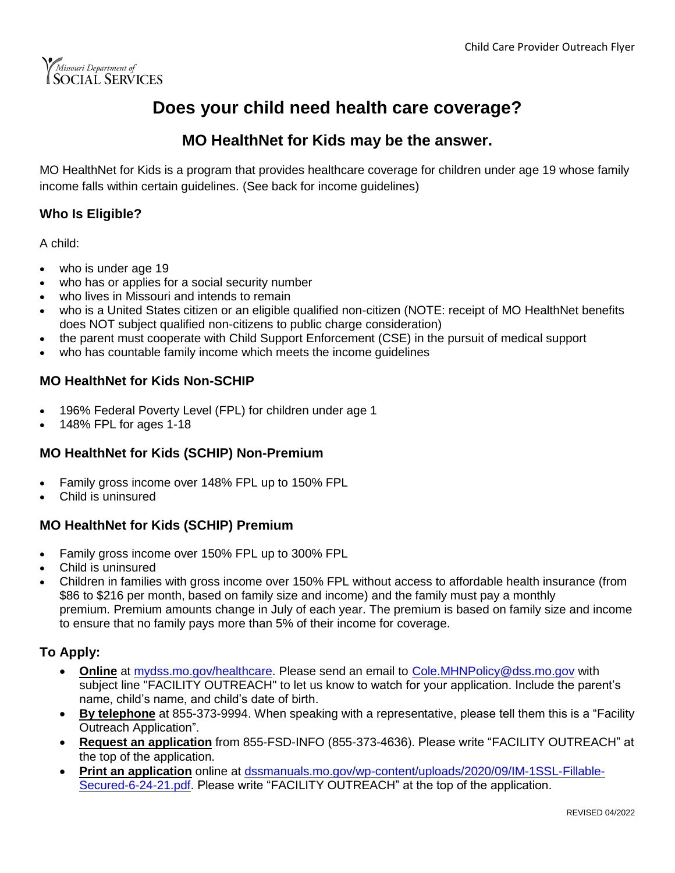

## **Does your child need health care coverage?**

### **MO HealthNet for Kids may be the answer.**

MO HealthNet for Kids is a program that provides healthcare coverage for children under age 19 whose family income falls within certain guidelines. (See back for income guidelines)

#### **Who Is Eligible?**

A child:

- who is under age 19
- who has or applies for a social security number
- who lives in Missouri and intends to remain
- who is a United States citizen or an eligible qualified non-citizen (NOTE: receipt of MO HealthNet benefits does NOT subject qualified non-citizens to public charge consideration)
- the parent must cooperate with Child Support Enforcement (CSE) in the pursuit of medical support
- who has countable family income which meets the income guidelines

#### **MO HealthNet for Kids Non-SCHIP**

- 196% Federal Poverty Level (FPL) for children under age 1
- 148% FPL for ages 1-18

#### **MO HealthNet for Kids (SCHIP) Non-Premium**

- Family gross income over 148% FPL up to 150% FPL
- Child is uninsured

#### **MO HealthNet for Kids (SCHIP) Premium**

- Family gross income over 150% FPL up to 300% FPL
- Child is uninsured
- Children in families with gross income over 150% FPL without access to affordable health insurance (from \$86 to \$216 per month, based on family size and income) and the family must pay a monthly premium. Premium amounts change in July of each year. The premium is based on family size and income to ensure that no family pays more than 5% of their income for coverage.

#### **To Apply:**

- **Online** at [mydss.mo.gov/healthcare.](https://mydss.mo.gov/healthcare) Please send an email to [Cole.MHNPolicy@dss.mo.gov](mailto:cole.mhnpolicy@dss.mo.gov) with subject line "FACILITY OUTREACH" to let us know to watch for your application. Include the parent's name, child's name, and child's date of birth.
- **By telephone** at 855-373-9994. When speaking with a representative, please tell them this is a "Facility Outreach Application".
- **Request an application** from 855-FSD-INFO (855-373-4636). Please write "FACILITY OUTREACH" at the top of the application.
- **Print an application** online at [dssmanuals.mo.gov/wp-content/uploads/2020/09/IM-1SSL-Fillable-](https://dssmanuals.mo.gov/wp-content/uploads/2020/09/IM-1SSL-Fillable-Secured-6-24-21.pdf)[Secured-6-24-21.pdf.](https://dssmanuals.mo.gov/wp-content/uploads/2020/09/IM-1SSL-Fillable-Secured-6-24-21.pdf) Please write "FACILITY OUTREACH" at the top of the application.